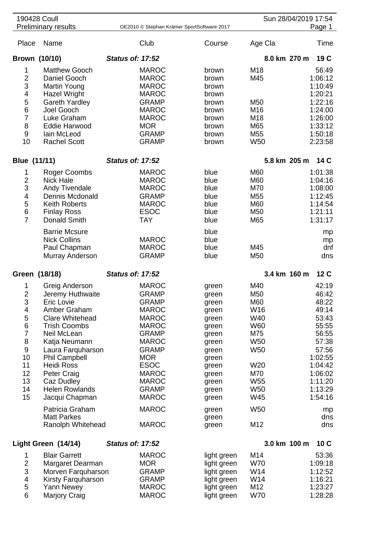| 190428 Coull<br><b>Preliminary results</b> |                                       | OE2010 © Stephan Krämer SportSoftware 2017 |                | Sun 28/04/2019 17:54<br>Page 1 |           |
|--------------------------------------------|---------------------------------------|--------------------------------------------|----------------|--------------------------------|-----------|
| Place                                      | Name                                  | Club                                       | Course         | Age Cla                        | Time      |
|                                            | Brown (10/10)                         | <b>Status of: 17:52</b>                    |                | 8.0 km 270 m                   | 19 C      |
| 1                                          | <b>Matthew Gooch</b>                  | <b>MAROC</b>                               | brown          | M18                            | 56:49     |
| $\overline{c}$                             | Daniel Gooch                          | <b>MAROC</b>                               | brown          | M45                            | 1:06:12   |
| 3                                          | Martin Young                          | <b>MAROC</b>                               | brown          |                                | 1:10:49   |
| 4                                          | Hazel Wright                          | <b>MAROC</b>                               | brown          |                                | 1:20:21   |
| 5                                          | <b>Gareth Yardley</b>                 | <b>GRAMP</b>                               | brown          | M50                            | 1:22:16   |
| $\,6$                                      | Joel Gooch                            | <b>MAROC</b>                               | brown          | M16                            | 1:24:00   |
| $\overline{7}$                             | Luke Graham                           | <b>MAROC</b>                               | brown          | M18                            | 1:26:00   |
| 8                                          | <b>Eddie Harwood</b>                  | <b>MOR</b>                                 | brown          | M65                            | 1:33:12   |
| 9                                          | lain McLeod                           | <b>GRAMP</b>                               | brown          | M <sub>55</sub>                | 1:50:18   |
| 10                                         | <b>Rachel Scott</b>                   | <b>GRAMP</b>                               | brown          | W <sub>50</sub>                | 2:23:58   |
| Blue (11/11)                               |                                       | <b>Status of: 17:52</b>                    |                | 5.8 km 205 m<br>14 C           |           |
| 1                                          | <b>Roger Coombs</b>                   | <b>MAROC</b>                               | blue           | M60                            | 1:01:38   |
| $\overline{2}$                             | <b>Nick Hale</b>                      | <b>MAROC</b>                               | blue           | M60                            | 1:04:16   |
| 3                                          | Andy Tivendale                        | <b>MAROC</b>                               | blue           | M70                            | 1:08:00   |
| $\overline{\mathbf{4}}$                    | Dennis Mcdonald                       | <b>GRAMP</b>                               | blue           | M <sub>55</sub>                | 1:12:45   |
| 5                                          | <b>Keith Roberts</b>                  | <b>MAROC</b>                               | blue           | M60                            | 1:14:54   |
| 6                                          | <b>Finlay Ross</b>                    | <b>ESOC</b>                                | blue           | M50                            | 1:21:11   |
| $\overline{7}$                             | Donald Smith                          | <b>TAY</b>                                 | blue           | M65                            | 1:31:17   |
|                                            | <b>Barrie Mcsure</b>                  |                                            | blue           |                                | mp        |
|                                            | <b>Nick Collins</b>                   | <b>MAROC</b>                               | blue           |                                | mp        |
|                                            | Paul Chapman                          | <b>MAROC</b>                               | blue           | M45                            | dnf       |
|                                            | Murray Anderson                       | <b>GRAMP</b>                               | blue           | M50                            | dns       |
| Green (18/18)                              |                                       | <b>Status of: 17:52</b>                    |                | 3.4 km 160 m                   | 12 C      |
| 1                                          | Greig Anderson                        | <b>MAROC</b>                               | green          | M40                            | 42:19     |
| $\overline{2}$                             | Jeremy Huthwaite                      | <b>GRAMP</b>                               | green          | M50                            | 46:42     |
| 3                                          | <b>Eric Lovie</b>                     | <b>GRAMP</b>                               | green          | M60                            | 48:22     |
| 4                                          | Amber Graham                          | <b>MAROC</b>                               | green          | W16                            | 49:14     |
| 5                                          | <b>Clare Whitehead</b>                | <b>MAROC</b>                               | green          | W40                            | 53:43     |
| $\,6$                                      | <b>Trish Coombs</b>                   | <b>MAROC</b>                               | green          | <b>W60</b>                     | 55:55     |
| $\overline{7}$                             | Neil McLean                           | <b>GRAMP</b>                               | green          | M75                            | 56:55     |
| 8                                          | Katja Neumann                         | <b>MAROC</b>                               | green          | W <sub>50</sub>                | 57:38     |
| $9\,$                                      | Laura Farquharson                     | <b>GRAMP</b>                               | green          | W <sub>50</sub>                | 57:56     |
| 10                                         | <b>Phil Campbell</b>                  | <b>MOR</b>                                 | green          |                                | 1:02:55   |
| 11                                         | <b>Heidi Ross</b>                     | <b>ESOC</b>                                | green          | W20                            | 1:04:42   |
| 12                                         | <b>Peter Craig</b>                    | <b>MAROC</b>                               | green          | M70                            | 1:06:02   |
| 13                                         | Caz Dudley                            | <b>MAROC</b>                               | green          | W <sub>55</sub>                | 1:11:20   |
| 14                                         | <b>Helen Rowlands</b>                 | <b>GRAMP</b>                               | green          | W <sub>50</sub>                | 1:13:29   |
| 15                                         | Jacqui Chapman                        | <b>MAROC</b>                               | green          | W45                            | 1:54:16   |
|                                            | Patricia Graham<br><b>Matt Parkes</b> | <b>MAROC</b>                               | green          | W <sub>50</sub>                | mp<br>dns |
|                                            | Ranolph Whitehead                     | <b>MAROC</b>                               | green<br>green | M12                            | dns       |
|                                            | Light Green (14/14)                   | <b>Status of: 17:52</b>                    |                | 3.0 km 100 m                   | 10C       |
| 1                                          | <b>Blair Garrett</b>                  | <b>MAROC</b>                               | light green    | M14                            | 53:36     |
| $\overline{\mathbf{c}}$                    | Margaret Dearman                      | <b>MOR</b>                                 | light green    | <b>W70</b>                     | 1:09:18   |
| 3                                          | Morven Farquharson                    | <b>GRAMP</b>                               | light green    | W14                            | 1:12:52   |
| $\overline{\mathbf{4}}$                    | Kirsty Farquharson                    | <b>GRAMP</b>                               | light green    | W14                            | 1:16:21   |
| 5                                          | Yann Newey                            | <b>MAROC</b>                               | light green    | M12                            | 1:23:27   |
| 6                                          | <b>Marjory Craig</b>                  | <b>MAROC</b>                               | light green    | <b>W70</b>                     | 1:28:28   |
|                                            |                                       |                                            |                |                                |           |